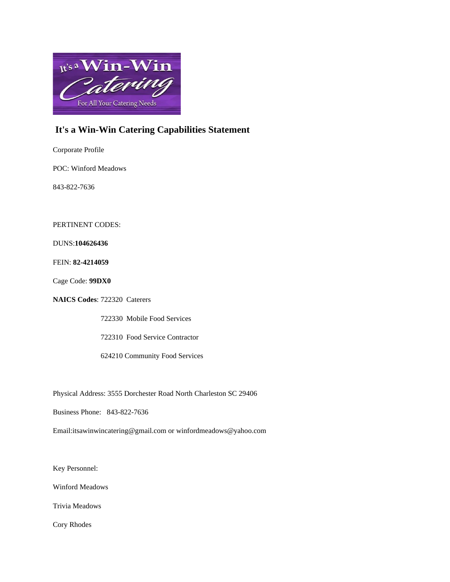

# **It's a Win-Win Catering Capabilities Statement**

Corporate Profile

POC: Winford Meadows

843-822-7636

PERTINENT CODES:

DUNS:**104626436**

FEIN: **82-4214059**

Cage Code: **99DX0**

**NAICS Codes**: 722320 Caterers

722330 Mobile Food Services

722310 Food Service Contractor

624210 Community Food Services

Physical Address: 3555 Dorchester Road North Charleston SC 29406

Business Phone: 843-822-7636

Email:itsawinwincatering@gmail.com or winfordmeadows@yahoo.com

Key Personnel:

Winford Meadows

Trivia Meadows

Cory Rhodes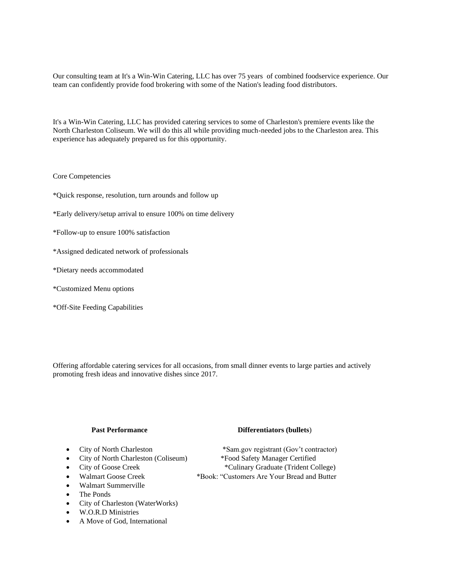Our consulting team at It's a Win-Win Catering, LLC has over 75 years of combined foodservice experience. Our team can confidently provide food brokering with some of the Nation's leading food distributors.

It's a Win-Win Catering, LLC has provided catering services to some of Charleston's premiere events like the North Charleston Coliseum. We will do this all while providing much-needed jobs to the Charleston area. This experience has adequately prepared us for this opportunity.

### Core Competencies

- \*Quick response, resolution, turn arounds and follow up
- \*Early delivery/setup arrival to ensure 100% on time delivery
- \*Follow-up to ensure 100% satisfaction
- \*Assigned dedicated network of professionals
- \*Dietary needs accommodated
- \*Customized Menu options
- \*Off-Site Feeding Capabilities

Offering affordable catering services for all occasions, from small dinner events to large parties and actively promoting fresh ideas and innovative dishes since 2017.

- 
- City of North Charleston (Coliseum)
- 
- 
- Walmart Summerville
- The Ponds
- City of Charleston (WaterWorks)
- W.O.R.D Ministries
- A Move of God, International

### **Past Performance Differentiators (bullets**)

• City of North Charleston \*Sam.gov registrant (Gov't contractor)<br>• City of North Charleston (Coliseum) \*Food Safety Manager Certified • City of Goose Creek \*Culinary Graduate (Trident College) • Walmart Goose Creek \*Book: "Customers Are Your Bread and Butter